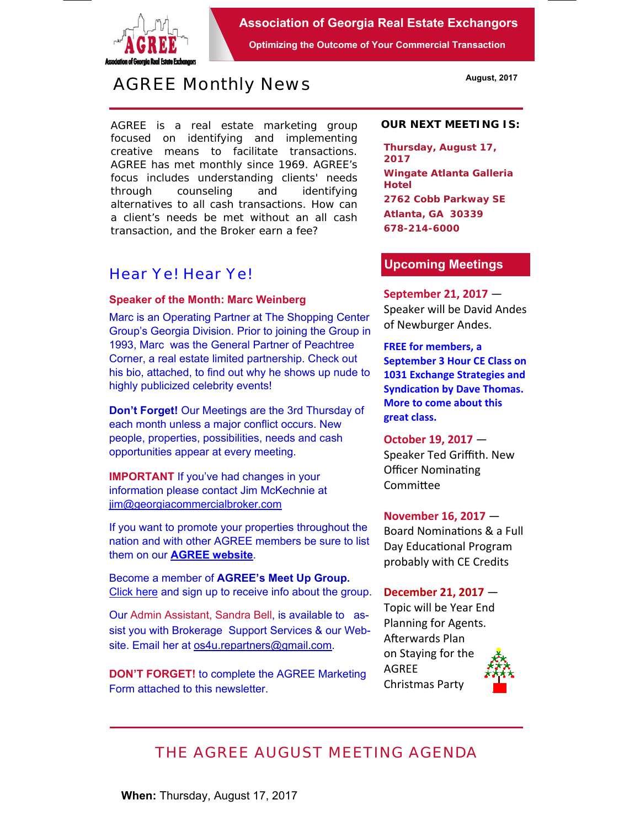

**Association of Georgia Real Estate Exchangors** 

**Optimizing the Outcome of Your Commercial Transaction** 

# *AGREE Monthly News*

AGREE is a real estate marketing group focused on identifying and implementing creative means to facilitate transactions. *AGREE has met monthly since 1969.* AGREE's focus includes understanding clients' needs through counseling and identifying alternatives to all cash transactions. How can a client's needs be met without an all cash transaction, and the Broker earn a fee?

### *Hear Ye! Hear Ye!*

### **Speaker of the Month: Marc Weinberg**

Marc is an Operating Partner at The Shopping Center Group's Georgia Division. Prior to joining the Group in 1993, Marc was the General Partner of Peachtree Corner, a real estate limited partnership. Check out his bio, attached, to find out why he shows up nude to highly publicized celebrity events!

**Don't Forget!** Our Meetings are the 3rd Thursday of each month unless a major conflict occurs. New people, properties, possibilities, needs and cash opportunities appear at every meeting.

**IMPORTANT** If you've had changes in your information please contact Jim McKechnie at jim@georgiacommercialbroker.com

If you want to promote your properties throughout the nation and with other AGREE members be sure to list them on our **AGREE website**.

Become a member of **AGREE's Meet Up Group.**  Click here and sign up to receive info about the group.

Our Admin Assistant, Sandra Bell, is available to assist you with Brokerage Support Services & our Website. Email her at os4u.repartners@gmail.com.

**DON'T FORGET!** to complete the AGREE Marketing Form attached to this newsletter.

#### **OUR NEXT MEETING IS:**

**Thursday, August 17, 2017 Wingate Atlanta Galleria Hotel 2762 Cobb Parkway SE Atlanta, GA 30339 678-214-6000** 

### **Upcoming Meetings**

**September 21, 2017** — Speaker will be David Andes of Newburger Andes.

**FREE for members, a September 3 Hour CE Class on 1031 Exchange Strategies and Syndication by Dave Thomas. More to come about this great class.** 

**October 19, 2017** — Speaker Ted Griffith. New Officer Nominating **Committee** 

## **November 16, 2017** —

Board Nominations & a Full Day Educational Program probably with CE Credits

#### **December 21, 2017** —

Topic will be Year End Planning for Agents. Afterwards Plan on Staying for the AGREE Christmas Party



## *THE AGREE AUGUST MEETING AGENDA*

**When:** Thursday, August 17, 2017

**August, 2017**